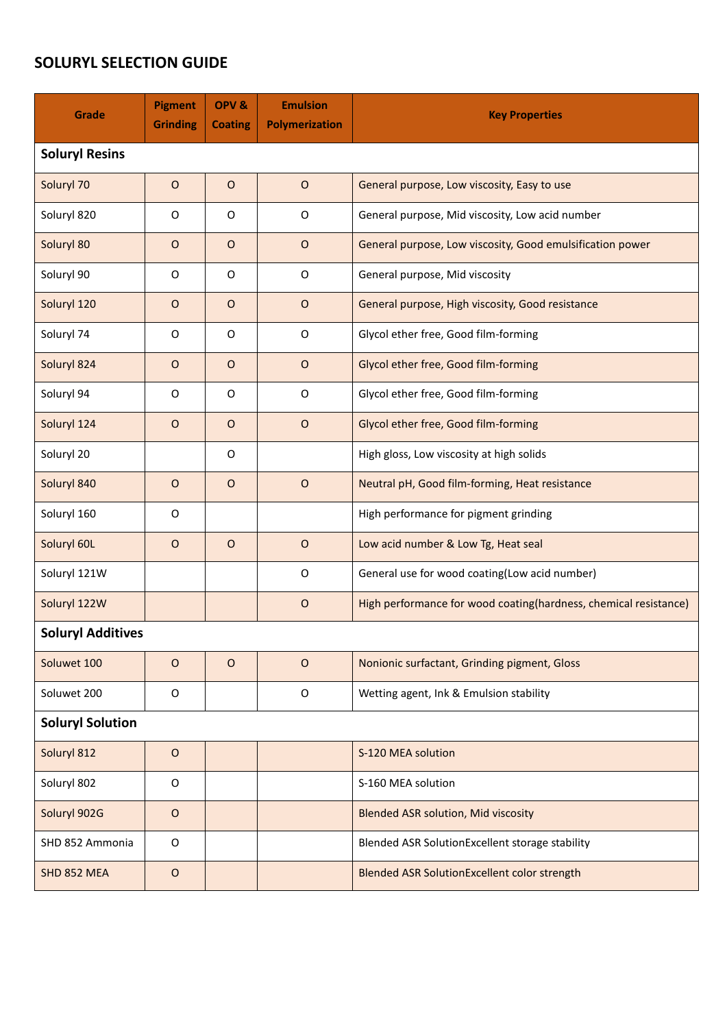## **SOLURYL SELECTION GUIDE**

| Grade                    | Pigment<br><b>Grinding</b> | OPV&<br><b>Coating</b> | <b>Emulsion</b><br><b>Polymerization</b> | <b>Key Properties</b>                                            |  |  |  |  |
|--------------------------|----------------------------|------------------------|------------------------------------------|------------------------------------------------------------------|--|--|--|--|
| <b>Soluryl Resins</b>    |                            |                        |                                          |                                                                  |  |  |  |  |
| Soluryl 70               | $\mathsf O$                | $\circ$                | $\circ$                                  | General purpose, Low viscosity, Easy to use                      |  |  |  |  |
| Soluryl 820              | O                          | O                      | $\mathsf O$                              | General purpose, Mid viscosity, Low acid number                  |  |  |  |  |
| Soluryl 80               | $\circ$                    | $\circ$                | $\circ$                                  | General purpose, Low viscosity, Good emulsification power        |  |  |  |  |
| Soluryl 90               | O                          | O                      | $\circ$                                  | General purpose, Mid viscosity                                   |  |  |  |  |
| Soluryl 120              | $\circ$                    | $\circ$                | $\mathsf O$                              | General purpose, High viscosity, Good resistance                 |  |  |  |  |
| Soluryl 74               | O                          | 0                      | O                                        | Glycol ether free, Good film-forming                             |  |  |  |  |
| Soluryl 824              | $\circ$                    | $\circ$                | $\circ$                                  | Glycol ether free, Good film-forming                             |  |  |  |  |
| Soluryl 94               | O                          | O                      | O                                        | Glycol ether free, Good film-forming                             |  |  |  |  |
| Soluryl 124              | $\circ$                    | $\circ$                | $\circ$                                  | Glycol ether free, Good film-forming                             |  |  |  |  |
| Soluryl 20               |                            | O                      |                                          | High gloss, Low viscosity at high solids                         |  |  |  |  |
| Soluryl 840              | $\mathsf O$                | $\mathsf O$            | $\circ$                                  | Neutral pH, Good film-forming, Heat resistance                   |  |  |  |  |
| Soluryl 160              | O                          |                        |                                          | High performance for pigment grinding                            |  |  |  |  |
| Soluryl 60L              | $\mathsf O$                | $\circ$                | $\circ$                                  | Low acid number & Low Tg, Heat seal                              |  |  |  |  |
| Soluryl 121W             |                            |                        | $\mathsf O$                              | General use for wood coating(Low acid number)                    |  |  |  |  |
| Soluryl 122W             |                            |                        | $\circ$                                  | High performance for wood coating(hardness, chemical resistance) |  |  |  |  |
| <b>Soluryl Additives</b> |                            |                        |                                          |                                                                  |  |  |  |  |
| Soluwet 100              | $\circ$                    | $\circ$                | $\circ$                                  | Nonionic surfactant, Grinding pigment, Gloss                     |  |  |  |  |
| Soluwet 200              | O                          |                        | O                                        | Wetting agent, Ink & Emulsion stability                          |  |  |  |  |
| <b>Soluryl Solution</b>  |                            |                        |                                          |                                                                  |  |  |  |  |
| Soluryl 812              | $\circ$                    |                        |                                          | S-120 MEA solution                                               |  |  |  |  |
| Soluryl 802              | $\mathsf O$                |                        |                                          | S-160 MEA solution                                               |  |  |  |  |
| Soluryl 902G             | $\mathsf O$                |                        |                                          | <b>Blended ASR solution, Mid viscosity</b>                       |  |  |  |  |
| SHD 852 Ammonia          | $\mathsf O$                |                        |                                          | Blended ASR SolutionExcellent storage stability                  |  |  |  |  |
| SHD 852 MEA              | $\mathsf O$                |                        |                                          | Blended ASR SolutionExcellent color strength                     |  |  |  |  |